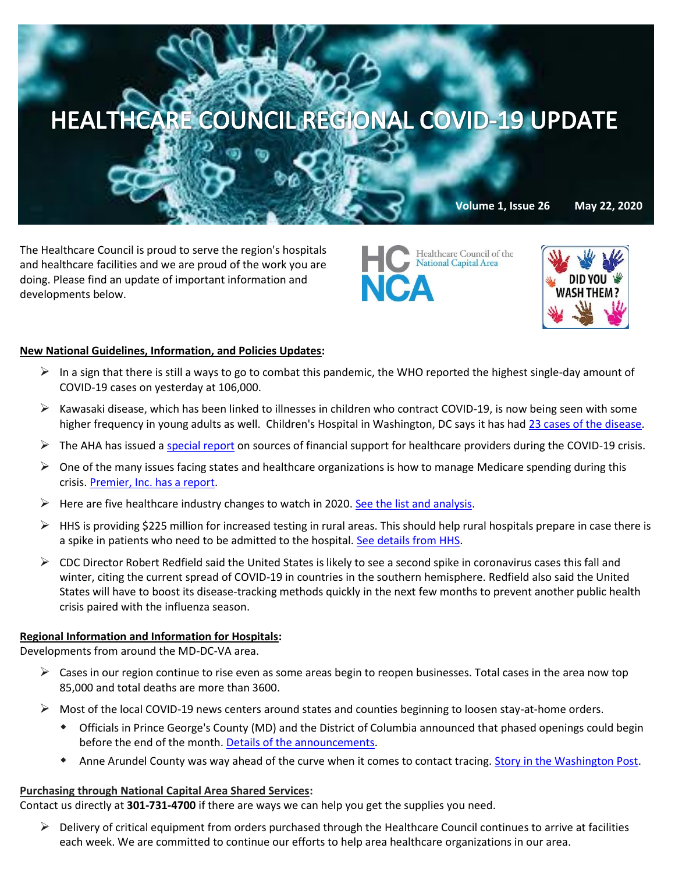

The Healthcare Council is proud to serve the region's hospitals and healthcare facilities and we are proud of the work you are doing. Please find an update of important information and developments below.

Healthcare Council of the National Capital Area **ICA** 



# **New National Guidelines, Information, and Policies Updates:**

- In a sign that there is still a ways to go to combat this pandemic, the WHO reported the highest single-day amount of COVID-19 cases on yesterday at 106,000.
- $\triangleright$  Kawasaki disease, which has been linked to illnesses in children who contract COVID-19, is now being seen with some higher frequency in young adults as well. Children's Hospital in Washington, DC says it has ha[d 23 cases of the disease.](https://www.washingtonpost.com/health/2020/05/21/misc-c-kawasaki-coronavirus-young-adults/?mkt_tok=eyJpIjoiTWpOa01XSXdNR05rTjJVeCIsInQiOiI2bnNDXC93UWptXC9nVHR0c2FJOUpoM1pCc09mbDF2QTVxaUk4TFR5RkNGbDl3TWpjZXFOdFwvRnV5V2VCTGplZGhESXB6Unltc3IxWVRLcHBRaGxFK1B6bE0zUUpkVk5uNnVwbTVhMDhRUXRwRWdrU1R2eVBuTVk0XC9SY3FlaDFuOUcifQ==)
- $\triangleright$  The AHA has issued [a special report](https://www.aha.org/special-bulletin/2020-05-20-sources-financial-support-health-care-providers-during-covid-19) on sources of financial support for healthcare providers during the COVID-19 crisis.
- $\triangleright$  One of the many issues facing states and healthcare organizations is how to manage Medicare spending during this crisis. [Premier, Inc. has a report.](https://www.premierinc.com/newsroom/blog/managing-medicaid-spending-in-the-covid-19-era)
- $\triangleright$  Here are five healthcare industry changes to watch in 2020[. See the list and analysis.](https://www.managedhealthcareexecutive.com/news/five-healthcare-industry-changes-watch-2020?rememberme=1&elq_mid=12155&elq_cid=871705&GUID=1C6DDF6D-6586-4FA8-A3D7-7F7A9F20DB30)
- $\triangleright$  HHS is providing \$225 million for increased testing in rural areas. This should help rural hospitals prepare in case there is a spike in patients who need to be admitted to the hospital[. See details from HHS.](https://www.hhs.gov/about/news/2020/05/20/hhs-provides-225-million-for-covid19-testing-in-rural-communities.html?utm_campaign=enews20200521&utm_medium=email&utm_source=govdelivery)
- $\triangleright$  CDC Director Robert Redfield said the United States is likely to see a second spike in coronavirus cases this fall and winter, citing the current spread of COVID-19 in countries in the southern hemisphere. Redfield also said the United States will have to boost its disease-tracking methods quickly in the next few months to prevent another public health crisis paired with the influenza season.

## **Regional Information and Information for Hospitals:**

Developments from around the MD-DC-VA area.

- $\triangleright$  Cases in our region continue to rise even as some areas begin to reopen businesses. Total cases in the area now top 85,000 and total deaths are more than 3600.
- $\triangleright$  Most of the local COVID-19 news centers around states and counties beginning to loosen stay-at-home orders.
	- Officials in Prince George's County (MD) and the District of Columbia announced that phased openings could begin before the end of the month. [Details of the announcements.](https://www.washingtonpost.com/local/dc-could-ease-restrictions-may-29-baltimore-county-enters-phase-1-reopening/2020/05/21/757ea97e-9b75-11ea-ad09-8da7ec214672_story.html)
	- Anne Arundel County was way ahead of the curve when it comes to contact tracing. [Story in the Washington Post.](https://www.washingtonpost.com/local/maryland-contact-tracing-anne-arundel/2020/05/21/0f99bcf6-900e-11ea-9e23-6914ee410a5f_story.html)

## **Purchasing through National Capital Area Shared Services:**

Contact us directly at **301-731-4700** if there are ways we can help you get the supplies you need.

 $\triangleright$  Delivery of critical equipment from orders purchased through the Healthcare Council continues to arrive at facilities each week. We are committed to continue our efforts to help area healthcare organizations in our area.